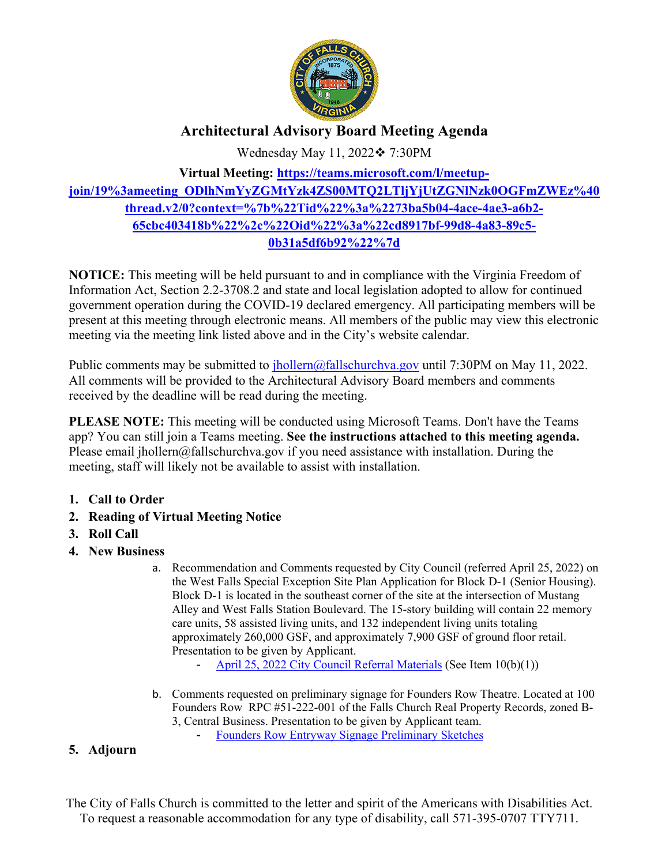

# **Architectural Advisory Board Meeting Agenda**

Wednesday May 11, 2022❖ 7:30PM

## **Virtual Meeting: https://teams.microsoft.com/l/meetupjoin/19%3ameeting\_ODlhNmYyZGMtYzk4ZS00MTQ2LTljYjUtZGNlNzk0OGFmZWEz%40 thread.v2/0?context=%7b%22Tid%22%3a%2273ba5b04-4ace-4ae3-a6b2- 65cbc403418b%22%2c%22Oid%22%3a%22cd8917bf-99d8-4a83-89c5- 0b31a5df6b92%22%7d**

**NOTICE:** This meeting will be held pursuant to and in compliance with the Virginia Freedom of Information Act, Section 2.2-3708.2 and state and local legislation adopted to allow for continued government operation during the COVID-19 declared emergency. All participating members will be present at this meeting through electronic means. All members of the public may view this electronic meeting via the meeting link listed above and in the City's website calendar.

Public comments may be submitted to jhollern@fallschurchva.gov until 7:30PM on May 11, 2022. All comments will be provided to the Architectural Advisory Board members and comments received by the deadline will be read during the meeting.

**PLEASE NOTE:** This meeting will be conducted using Microsoft Teams. Don't have the Teams app? You can still join a Teams meeting. **See the instructions attached to this meeting agenda.**  Please email jhollern@fallschurchva.gov if you need assistance with installation. During the meeting, staff will likely not be available to assist with installation.

- **1. Call to Order**
- **2. Reading of Virtual Meeting Notice**
- **3. Roll Call**
- **4. New Business** 
	- a. Recommendation and Comments requested by City Council (referred April 25, 2022) on the West Falls Special Exception Site Plan Application for Block D-1 (Senior Housing). Block D-1 is located in the southeast corner of the site at the intersection of Mustang Alley and West Falls Station Boulevard. The 15-story building will contain 22 memory care units, 58 assisted living units, and 132 independent living units totaling approximately 260,000 GSF, and approximately 7,900 GSF of ground floor retail. Presentation to be given by Applicant.
		- April 25, 2022 City Council Referral Materials (See Item 10(b)(1))
	- b. Comments requested on preliminary signage for Founders Row Theatre. Located at 100 Founders Row RPC #51-222-001 of the Falls Church Real Property Records, zoned B-3, Central Business. Presentation to be given by Applicant team. - Founders Row Entryway Signage Preliminary Sketches

### **5. Adjourn**

The City of Falls Church is committed to the letter and spirit of the Americans with Disabilities Act. To request a reasonable accommodation for any type of disability, call 571-395-0707 TTY711.